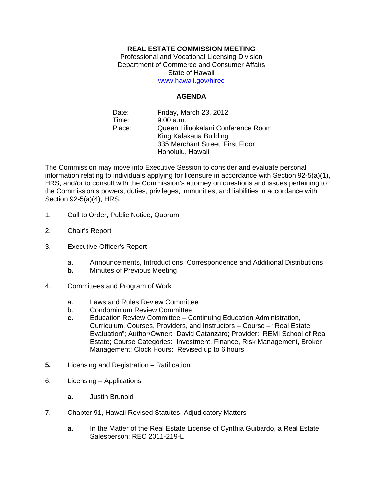## **REAL ESTATE COMMISSION MEETING**

Professional and Vocational Licensing Division Department of Commerce and Consumer Affairs State of Hawaii www.hawaii.gov/hirec

**AGENDA** 

Date: Friday, March 23, 2012 Time: 9:00 a.m. Place: Queen Liliuokalani Conference Room King Kalakaua Building 335 Merchant Street, First Floor Honolulu, Hawaii

The Commission may move into Executive Session to consider and evaluate personal information relating to individuals applying for licensure in accordance with Section 92-5(a)(1), HRS, and/or to consult with the Commission's attorney on questions and issues pertaining to the Commission's powers, duties, privileges, immunities, and liabilities in accordance with Section 92-5(a)(4), HRS.

- 1. Call to Order, Public Notice, Quorum
- 2. Chair's Report
- 3. Executive Officer's Report
	- a. Announcements, Introductions, Correspondence and Additional Distributions
	- **b.** Minutes of Previous Meeting
- 4. Committees and Program of Work
	- a. Laws and Rules Review Committee
	- b. Condominium Review Committee
	- **c.** Education Review Committee Continuing Education Administration, Curriculum, Courses, Providers, and Instructors – Course – "Real Estate Evaluation"; Author/Owner: David Catanzaro; Provider: REMI School of Real Estate; Course Categories: Investment, Finance, Risk Management, Broker Management; Clock Hours: Revised up to 6 hours
- **5.** Licensing and Registration Ratification
- 6. Licensing Applications
	- **a.** Justin Brunold
- 7. Chapter 91, Hawaii Revised Statutes, Adjudicatory Matters
	- **a.** In the Matter of the Real Estate License of Cynthia Guibardo, a Real Estate Salesperson; REC 2011-219-L